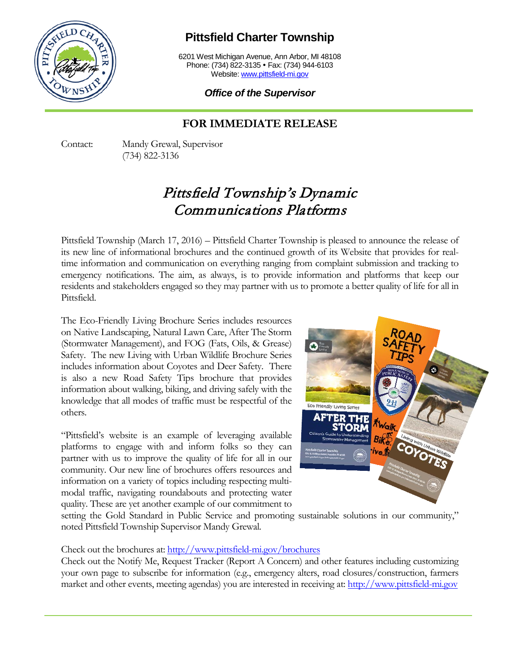

## **Pittsfield Charter Township**

6201 West Michigan Avenue, Ann Arbor, MI 48108 Phone: (734) 822-3135 • Fax: (734) 944-6103 Website: [www.pittsfield-mi.gov](http://www.pittsfield-mi.gov/)

*Office of the Supervisor*

## **FOR IMMEDIATE RELEASE**

Contact: Mandy Grewal, Supervisor (734) 822-3136

## Pittsfield Township's Dynamic Communications Platforms

Pittsfield Township (March 17, 2016) – Pittsfield Charter Township is pleased to announce the release of its new line of informational brochures and the continued growth of its Website that provides for realtime information and communication on everything ranging from complaint submission and tracking to emergency notifications. The aim, as always, is to provide information and platforms that keep our residents and stakeholders engaged so they may partner with us to promote a better quality of life for all in Pittsfield.

The Eco-Friendly Living Brochure Series includes resources on Native Landscaping, Natural Lawn Care, After The Storm (Stormwater Management), and FOG (Fats, Oils, & Grease) Safety. The new Living with Urban Wildlife Brochure Series includes information about Coyotes and Deer Safety. There is also a new Road Safety Tips brochure that provides information about walking, biking, and driving safely with the knowledge that all modes of traffic must be respectful of the others.

"Pittsfield's website is an example of leveraging available platforms to engage with and inform folks so they can partner with us to improve the quality of life for all in our community. Our new line of brochures offers resources and information on a variety of topics including respecting multimodal traffic, navigating roundabouts and protecting water quality. These are yet another example of our commitment to



setting the Gold Standard in Public Service and promoting sustainable solutions in our community," noted Pittsfield Township Supervisor Mandy Grewal.

Check out the brochures at:<http://www.pittsfield-mi.gov/brochures>

Check out the Notify Me, Request Tracker (Report A Concern) and other features including customizing your own page to subscribe for information (e.g., emergency alters, road closures/construction, farmers market and other events, meeting agendas) you are interested in receiving at[: http://www.pittsfield-mi.gov](http://www.pittsfield-mi.gov/)